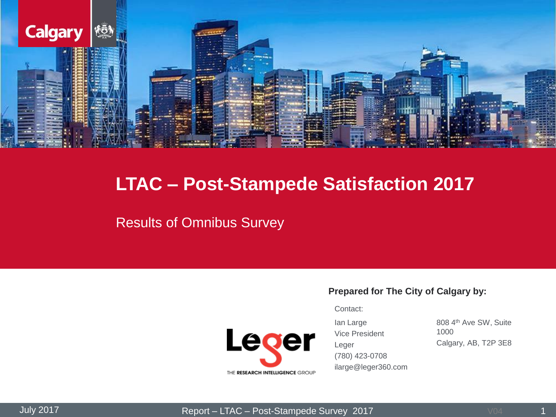

## **LTAC – Post-Stampede Satisfaction 2017**

### Results of Omnibus Survey

#### **Prepared for The City of Calgary by:**

Contact:



Ian Large Vice President Leger (780) 423-0708 ilarge@leger360.com

808 4<sup>th</sup> Ave SW, Suite 1000 Calgary, AB, T2P 3E8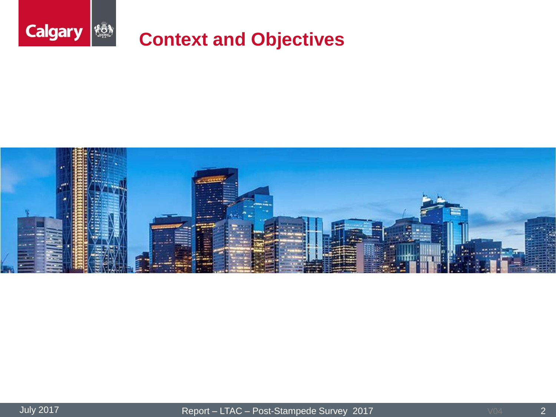

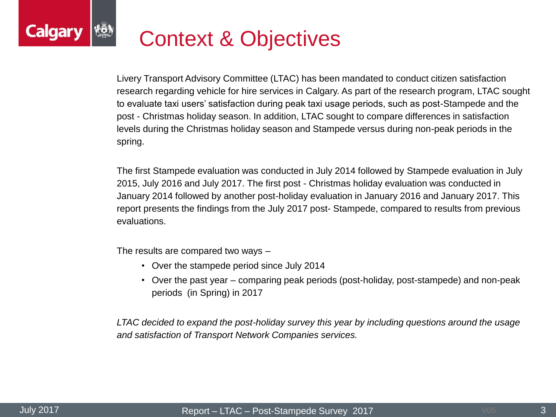### **Calgar** Context & Objectives

Livery Transport Advisory Committee (LTAC) has been mandated to conduct citizen satisfaction research regarding vehicle for hire services in Calgary. As part of the research program, LTAC sought to evaluate taxi users' satisfaction during peak taxi usage periods, such as post-Stampede and the post - Christmas holiday season. In addition, LTAC sought to compare differences in satisfaction levels during the Christmas holiday season and Stampede versus during non-peak periods in the spring.

The first Stampede evaluation was conducted in July 2014 followed by Stampede evaluation in July 2015, July 2016 and July 2017. The first post - Christmas holiday evaluation was conducted in January 2014 followed by another post-holiday evaluation in January 2016 and January 2017. This report presents the findings from the July 2017 post- Stampede, compared to results from previous evaluations.

The results are compared two ways –

- Over the stampede period since July 2014
- Over the past year comparing peak periods (post-holiday, post-stampede) and non-peak periods (in Spring) in 2017

*LTAC decided to expand the post-holiday survey this year by including questions around the usage and satisfaction of Transport Network Companies services.*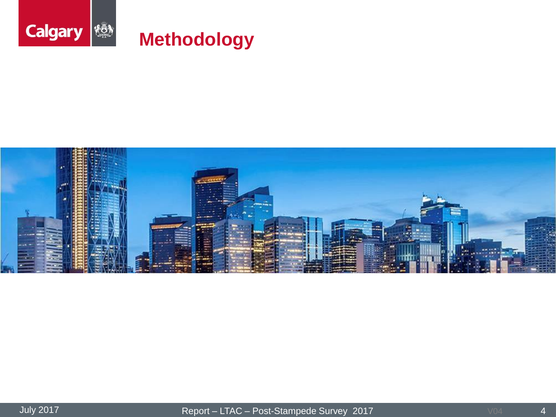

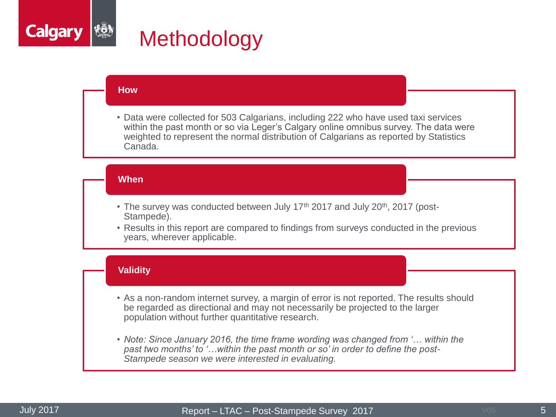

#### **How**

• Data were collected for 503 Calgarians, including 222 who have used taxi services within the past month or so via Leger's Calgary online omnibus survey. The data were weighted to represent the normal distribution of Calgarians as reported by Statistics Canada.

#### **When**

- The survey was conducted between July 17<sup>th</sup> 2017 and July 20<sup>th</sup>, 2017 (post-Stampede).
- Results in this report are compared to findings from surveys conducted in the previous years, wherever applicable.

#### **Validity**

- As a non-random internet survey, a margin of error is not reported. The results should be regarded as directional and may not necessarily be projected to the larger population without further quantitative research.
- *Note: Since January 2016, the time frame wording was changed from '… within the past two months' to '…within the past month or so' in order to define the post-Stampede season we were interested in evaluating.*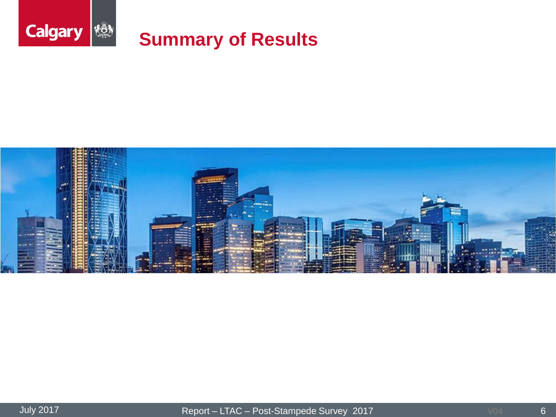

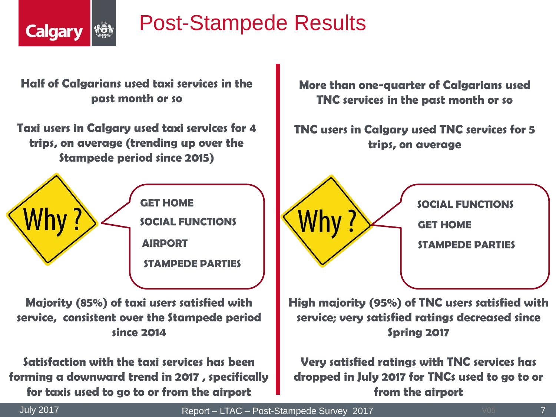

# Post-Stampede Results

**Half of Calgarians used taxi services in the past month or so**

**Taxi users in Calgary used taxi services for 4 trips, on average (trending up over the Stampede period since 2015)**



**Majority (85%) of taxi users satisfied with service, consistent over the Stampede period since 2014**

**Satisfaction with the taxi services has been forming a downward trend in 2017 , specifically for taxis used to go to or from the airport**

**More than one-quarter of Calgarians used TNC services in the past month or so**

**TNC users in Calgary used TNC services for 5 trips, on average** 



**SOCIAL FUNCTIONS**

**GET HOME**

**STAMPEDE PARTIES**

**High majority (95%) of TNC users satisfied with service; very satisfied ratings decreased since Spring 2017**

**Very satisfied ratings with TNC services has dropped in July 2017 for TNCs used to go to or from the airport**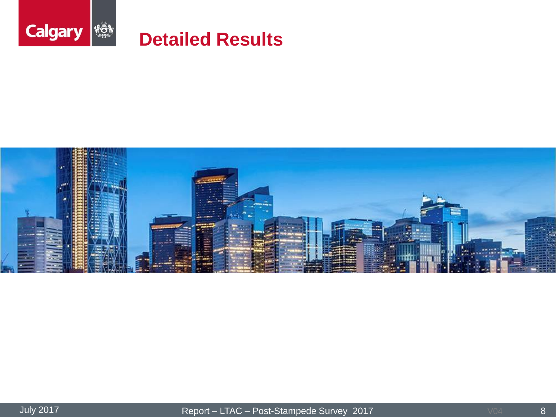

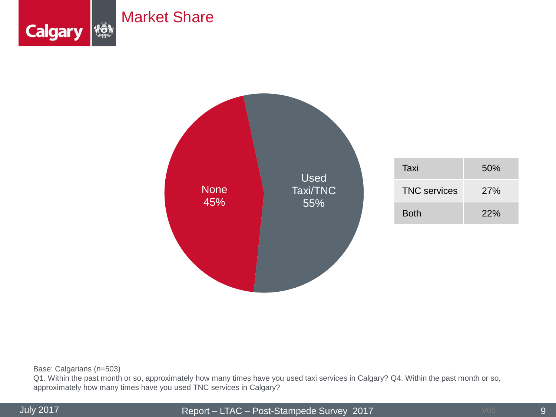



Base: Calgarians (n=503)

Q1. Within the past month or so, approximately how many times have you used taxi services in Calgary? Q4. Within the past month or so, approximately how many times have you used TNC services in Calgary?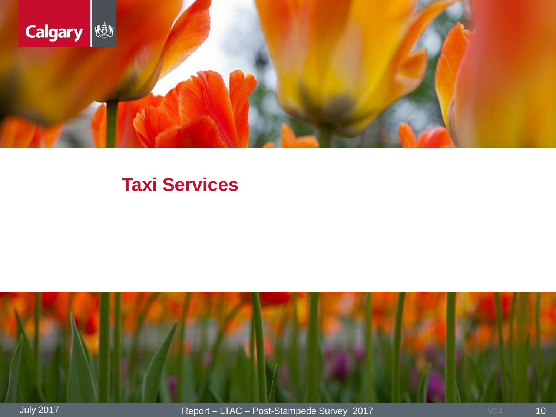

## **Taxi Services**

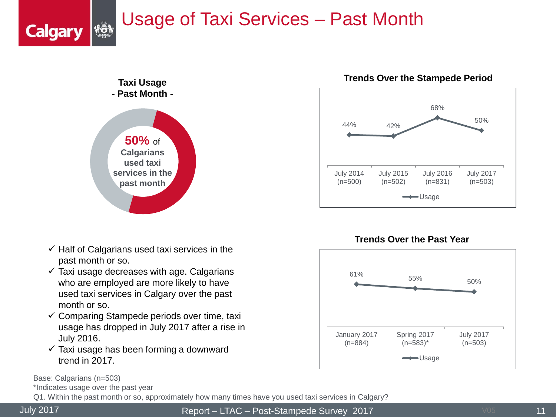# Usage of Taxi Services – Past Month



- $\checkmark$  Half of Calgarians used taxi services in the past month or so.
- $\checkmark$  Taxi usage decreases with age. Calgarians who are employed are more likely to have used taxi services in Calgary over the past month or so.
- $\checkmark$  Comparing Stampede periods over time, taxi usage has dropped in July 2017 after a rise in July 2016.
- $\checkmark$  Taxi usage has been forming a downward trend in 2017.

Base: Calgarians (n=503)

\*Indicates usage over the past year

Q1. Within the past month or so, approximately how many times have you used taxi services in Calgary?

**Calgary** 

July 2017 Report – LTAC – Post-Stampede Survey 2017







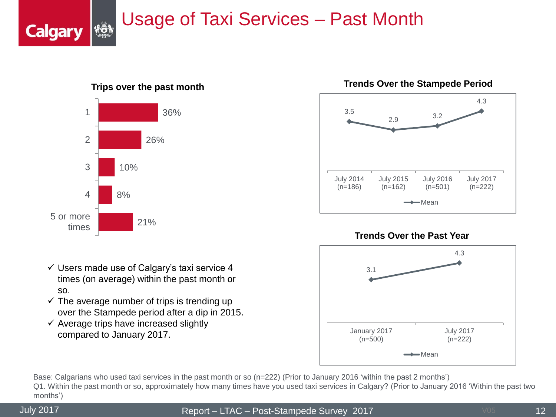## Usage of Taxi Services – Past Month



**Trips over the past month**



- $\checkmark$  The average number of trips is trending up over the Stampede period after a dip in 2015.
- $\checkmark$  Average trips have increased slightly compared to January 2017.







Base: Calgarians who used taxi services in the past month or so (n=222) (Prior to January 2016 'within the past 2 months') Q1. Within the past month or so, approximately how many times have you used taxi services in Calgary? (Prior to January 2016 'Within the past two months')

**Calgary**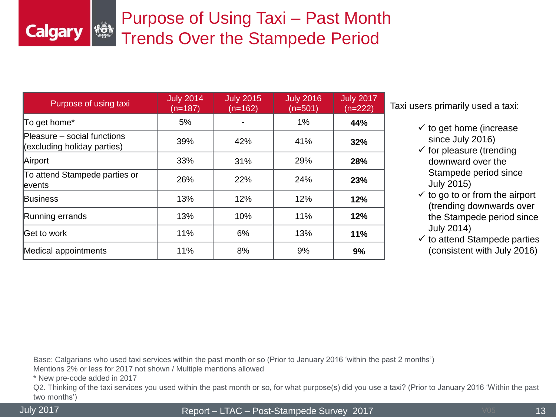## Purpose of Using Taxi – Past Month Trends Over the Stampede Period

| Purpose of using taxi                                      | <b>July 2014</b><br>(n=187) | <b>July 2015</b><br>$(n=162)$ | <b>July 2016</b><br>$(n=501)$ | <b>July 2017</b><br>$(n=222)$ |
|------------------------------------------------------------|-----------------------------|-------------------------------|-------------------------------|-------------------------------|
| To get home*                                               | 5%                          |                               | 1%                            | 44%                           |
| Pleasure - social functions<br>(excluding holiday parties) | 39%                         | 42%                           | 41%                           | 32%                           |
| Airport                                                    | 33%                         | 31%                           | 29%                           | 28%                           |
| To attend Stampede parties or<br>levents                   | 26%                         | 22%                           | 24%                           | 23%                           |
| <b>Business</b>                                            | 13%                         | 12%                           | 12%                           | 12%                           |
| Running errands                                            | 13%                         | 10%                           | 11%                           | 12%                           |
| Get to work                                                | 11%                         | 6%                            | 13%                           | 11%                           |
| Medical appointments                                       | 11%                         | 8%                            | 9%                            | 9%                            |

Taxi users primarily used a taxi:

- $\checkmark$  to get home (increase since July 2016)
- $\checkmark$  for pleasure (trending downward over the Stampede period since July 2015)
- $\checkmark$  to go to or from the airport (trending downwards over the Stampede period since July 2014)
- $\checkmark$  to attend Stampede parties (consistent with July 2016)

Base: Calgarians who used taxi services within the past month or so (Prior to January 2016 'within the past 2 months')

Mentions 2% or less for 2017 not shown / Multiple mentions allowed

\* New pre-code added in 2017

Q2. Thinking of the taxi services you used within the past month or so, for what purpose(s) did you use a taxi? (Prior to January 2016 'Within the past two months')

**Calgary** 

July 2017 Report – LTAC – Post-Stampede Survey 2017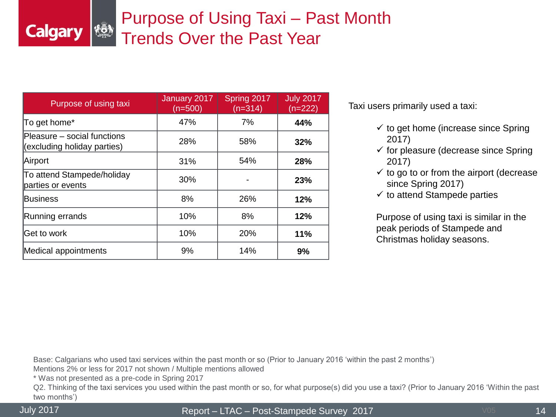## Purpose of Using Taxi – Past Month Trends Over the Past Year

| Purpose of using taxi                                      | January 2017<br>$(n=500)$ | Spring 2017<br>$(n=314)$ | <b>July 2017</b><br>$(n=222)$ |
|------------------------------------------------------------|---------------------------|--------------------------|-------------------------------|
| To get home*                                               | 47%                       | 7%                       | 44%                           |
| Pleasure - social functions<br>(excluding holiday parties) | 28%                       | 58%                      | 32%                           |
| Airport                                                    | 31%                       | 54%                      | 28%                           |
| To attend Stampede/holiday<br>parties or events            | 30%                       |                          | 23%                           |
| Business                                                   | 8%                        | 26%                      | 12%                           |
| Running errands                                            | 10%                       | 8%                       | 12%                           |
| lGet to work                                               | 10%                       | 20%                      | 11%                           |
| Medical appointments                                       | 9%                        | 14%                      | 9%                            |

Taxi users primarily used a taxi:

- $\checkmark$  to get home (increase since Spring 2017)
- $\checkmark$  for pleasure (decrease since Spring 2017)
- $\checkmark$  to go to or from the airport (decrease since Spring 2017)
- $\checkmark$  to attend Stampede parties

Purpose of using taxi is similar in the peak periods of Stampede and Christmas holiday seasons.

Base: Calgarians who used taxi services within the past month or so (Prior to January 2016 'within the past 2 months')

Mentions 2% or less for 2017 not shown / Multiple mentions allowed

\* Was not presented as a pre-code in Spring 2017

Q2. Thinking of the taxi services you used within the past month or so, for what purpose(s) did you use a taxi? (Prior to January 2016 'Within the past two months')

**Calgary** 

July 2017 Report – LTAC – Post-Stampede Survey 2017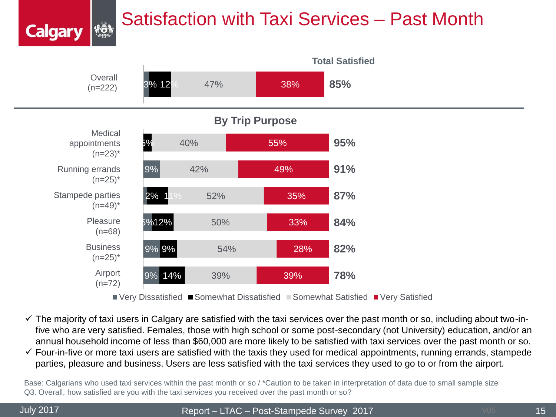# Satisfaction with Taxi Services – Past Month



- $\checkmark$  The majority of taxi users in Calgary are satisfied with the taxi services over the past month or so, including about two-infive who are very satisfied. Females, those with high school or some post-secondary (not University) education, and/or an annual household income of less than \$60,000 are more likely to be satisfied with taxi services over the past month or so.
- $\checkmark$  Four-in-five or more taxi users are satisfied with the taxis they used for medical appointments, running errands, stampede parties, pleasure and business. Users are less satisfied with the taxi services they used to go to or from the airport.

Base: Calgarians who used taxi services within the past month or so / \*Caution to be taken in interpretation of data due to small sample size Q3. Overall, how satisfied are you with the taxi services you received over the past month or so?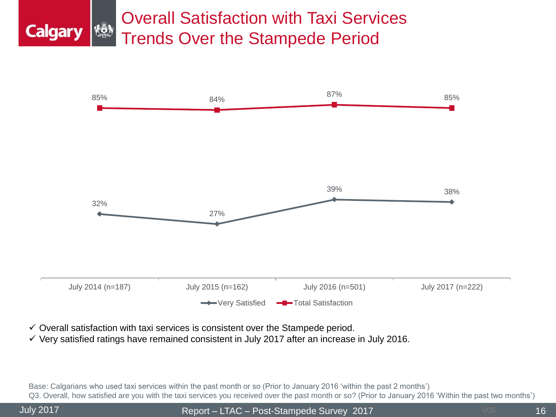### Overall Satisfaction with Taxi Services **Calgary** Trends Over the Stampede Period



- $\checkmark$  Overall satisfaction with taxi services is consistent over the Stampede period.
- $\checkmark$  Very satisfied ratings have remained consistent in July 2017 after an increase in July 2016.

Base: Calgarians who used taxi services within the past month or so (Prior to January 2016 'within the past 2 months') Q3. Overall, how satisfied are you with the taxi services you received over the past month or so? (Prior to January 2016 'Within the past two months')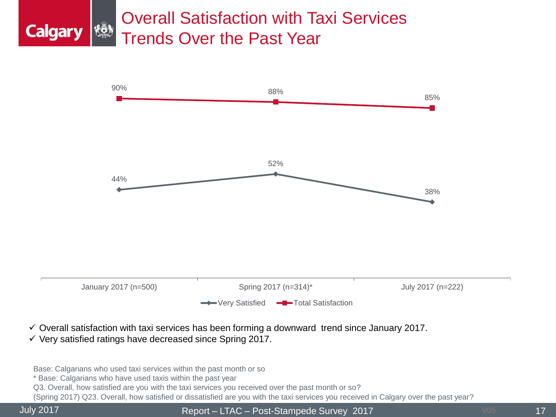### Overall Satisfaction with Taxi Services **Calgary** Trends Over the Past Year



- $\checkmark$  Overall satisfaction with taxi services has been forming a downward trend since January 2017.
- $\checkmark$  Very satisfied ratings have decreased since Spring 2017.

Base: Calgarians who used taxi services within the past month or so

\* Base: Calgarians who have used taxis within the past year

Q3. Overall, how satisfied are you with the taxi services you received over the past month or so?

(Spring 2017) Q23. Overall, how satisfied or dissatisfied are you with the taxi services you received in Calgary over the past year?

July 2017 Report – LTAC – Post-Stampede Survey 2017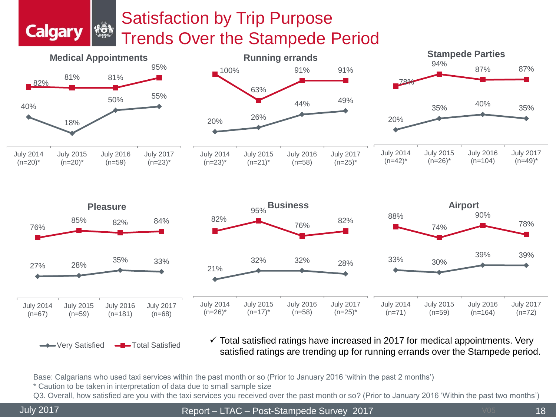## Satisfaction by Trip Purpose Trends Over the Stampede Period





#### ← Very Satisfied –■Total Satisfied

**KÖN** 

**Calgary** 

 $\checkmark$  Total satisfied ratings have increased in 2017 for medical appointments. Very satisfied ratings are trending up for running errands over the Stampede period.

Base: Calgarians who used taxi services within the past month or so (Prior to January 2016 'within the past 2 months')

\* Caution to be taken in interpretation of data due to small sample size

Q3. Overall, how satisfied are you with the taxi services you received over the past month or so? (Prior to January 2016 'Within the past two months')

July 2017 Report – LTAC – Post-Stampede Survey 2017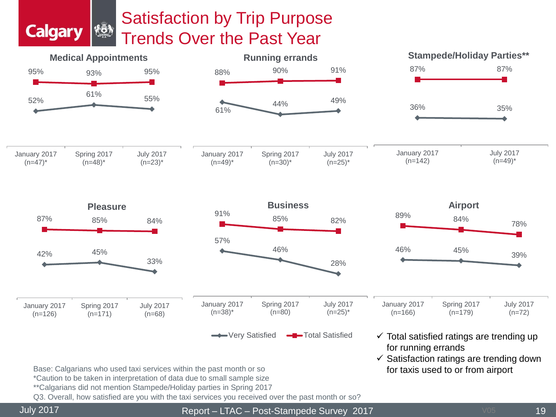## Satisfaction by Trip Purpose Trends Over the Past Year



**Calgary** 

**\$Ö)** 

July 2017 Report – LTAC – Post-Stampede Survey 2017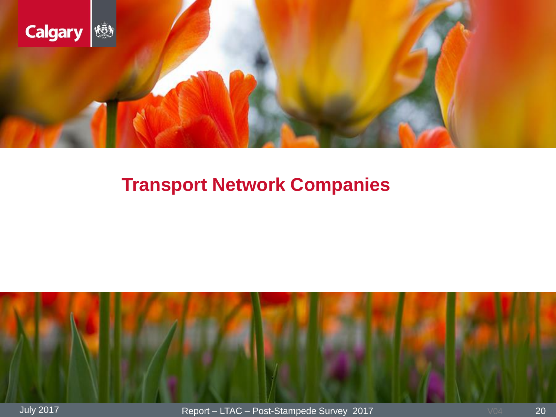

# **Transport Network Companies**

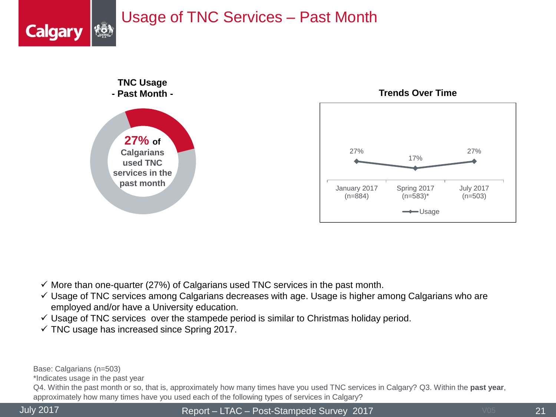## Usage of TNC Services – Past Month



 $\checkmark$  More than one-quarter (27%) of Calgarians used TNC services in the past month.

- $\checkmark$  Usage of TNC services among Calgarians decreases with age. Usage is higher among Calgarians who are employed and/or have a University education.
- $\checkmark$  Usage of TNC services over the stampede period is similar to Christmas holiday period.
- $\checkmark$  TNC usage has increased since Spring 2017.

Base: Calgarians (n=503)

\*Indicates usage in the past year

Q4. Within the past month or so, that is, approximately how many times have you used TNC services in Calgary? Q3. Within the **past year**, approximately how many times have you used each of the following types of services in Calgary?

**Calgary**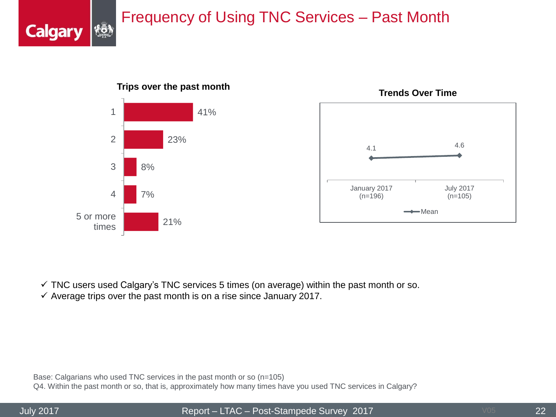## Frequency of Using TNC Services – Past Month



 $\checkmark$  TNC users used Calgary's TNC services 5 times (on average) within the past month or so.

 $\checkmark$  Average trips over the past month is on a rise since January 2017.

Base: Calgarians who used TNC services in the past month or so (n=105) Q4. Within the past month or so, that is, approximately how many times have you used TNC services in Calgary?

**Calgary** 

July 2017 Report – LTAC – Post-Stampede Survey 2017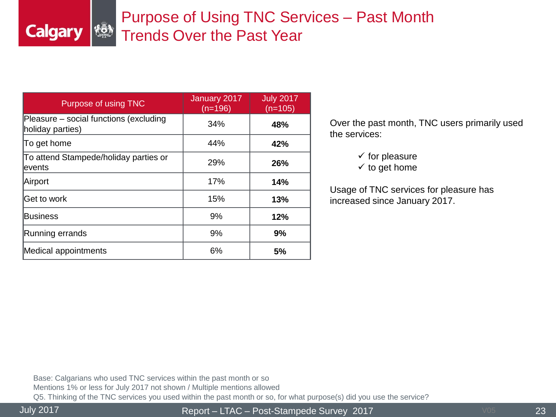## Purpose of Using TNC Services – Past Month Trends Over the Past Year

| Purpose of using TNC                                       | January 2017<br>$(n=196)$ | <b>July 2017</b><br>$(n=105)$ |
|------------------------------------------------------------|---------------------------|-------------------------------|
| Pleasure – social functions (excluding<br>holiday parties) | 34%                       | 48%                           |
| To get home                                                | 44%                       | 42%                           |
| To attend Stampede/holiday parties or<br>events            | 29%                       | 26%                           |
| Airport                                                    | 17%                       | 14%                           |
| lGet to work                                               | 15%                       | 13%                           |
| Business                                                   | 9%                        | 12%                           |
| Running errands                                            | 9%                        | 9%                            |
| Medical appointments                                       | 6%                        | 5%                            |

Over the past month, TNC users primarily used the services:

 $\checkmark$  for pleasure

 $\checkmark$  to get home

Usage of TNC services for pleasure has increased since January 2017.

Base: Calgarians who used TNC services within the past month or so Mentions 1% or less for July 2017 not shown / Multiple mentions allowed Q5. Thinking of the TNC services you used within the past month or so, for what purpose(s) did you use the service?

**Calgary** 

July 2017 Report – LTAC – Post-Stampede Survey 2017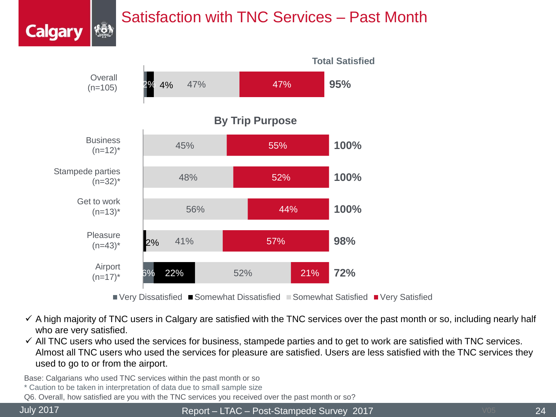## Satisfaction with TNC Services – Past Month



- $\checkmark$  A high majority of TNC users in Calgary are satisfied with the TNC services over the past month or so, including nearly half who are very satisfied.
- $\checkmark$  All TNC users who used the services for business, stampede parties and to get to work are satisfied with TNC services. Almost all TNC users who used the services for pleasure are satisfied. Users are less satisfied with the TNC services they used to go to or from the airport.

Base: Calgarians who used TNC services within the past month or so

- \* Caution to be taken in interpretation of data due to small sample size
- Q6. Overall, how satisfied are you with the TNC services you received over the past month or so?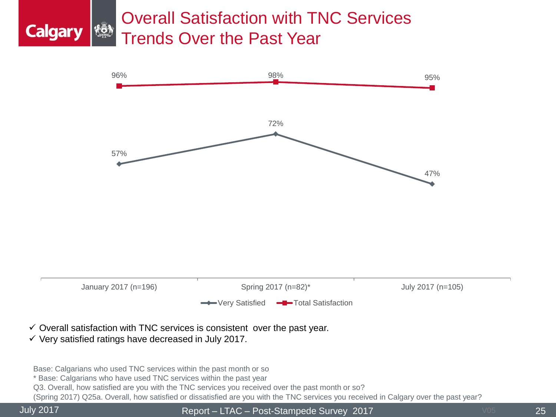## Overall Satisfaction with TNC Services Trends Over the Past Year



- $\checkmark$  Overall satisfaction with TNC services is consistent over the past year.
- $\checkmark$  Very satisfied ratings have decreased in July 2017.

Base: Calgarians who used TNC services within the past month or so

\* Base: Calgarians who have used TNC services within the past year

Q3. Overall, how satisfied are you with the TNC services you received over the past month or so?

(Spring 2017) Q25a. Overall, how satisfied or dissatisfied are you with the TNC services you received in Calgary over the past year?

**Calgary** 

July 2017 Report – LTAC – Post-Stampede Survey 2017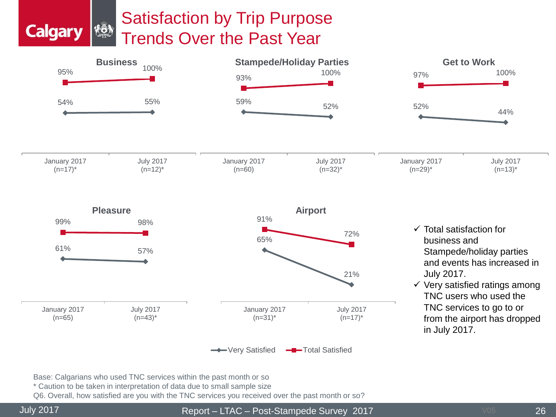### Satisfaction by Trip Purpose łō, Trends Over the Past Year



Base: Calgarians who used TNC services within the past month or so

\* Caution to be taken in interpretation of data due to small sample size

Q6. Overall, how satisfied are you with the TNC services you received over the past month or so?

**Calgary**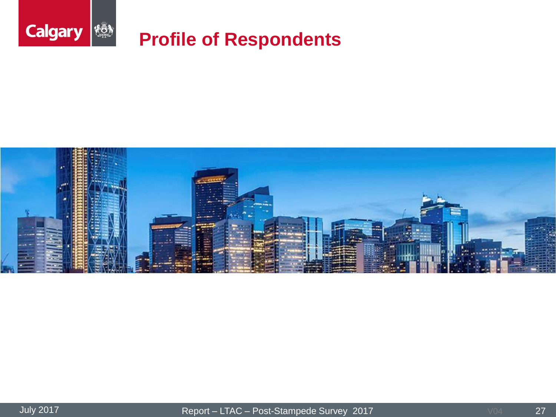